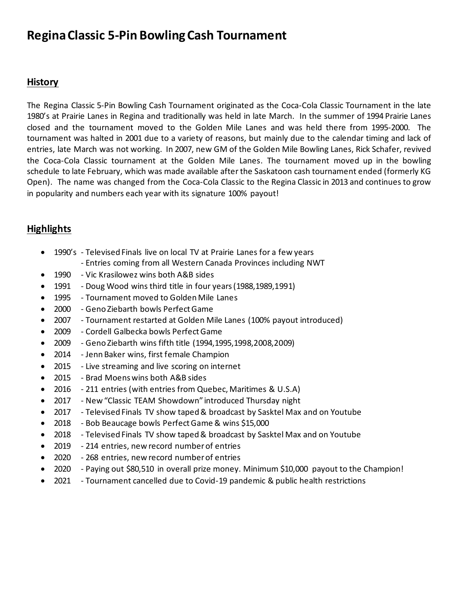## **Regina Classic 5-Pin Bowling Cash Tournament**

## **History**

The Regina Classic 5-Pin Bowling Cash Tournament originated as the Coca-Cola Classic Tournament in the late 1980's at Prairie Lanes in Regina and traditionally was held in late March. In the summer of 1994 Prairie Lanes closed and the tournament moved to the Golden Mile Lanes and was held there from 1995-2000. The tournament was halted in 2001 due to a variety of reasons, but mainly due to the calendar timing and lack of entries, late March was not working. In 2007, new GM of the Golden Mile Bowling Lanes, Rick Schafer, revived the Coca-Cola Classic tournament at the Golden Mile Lanes. The tournament moved up in the bowling schedule to late February, which was made available after the Saskatoon cash tournament ended (formerly KG Open). The name was changed from the Coca-Cola Classic to the Regina Classic in 2013 and continues to grow in popularity and numbers each year with its signature 100% payout!

## **Highlights**

- 1990's Televised Finals live on local TV at Prairie Lanes for a few years
	- Entries coming from all Western Canada Provinces including NWT
- 1990 Vic Krasilowez wins both A&B sides
- 1991 Doug Wood wins third title in four years (1988,1989,1991)
- 1995 Tournament moved to Golden Mile Lanes
- 2000 Geno Ziebarth bowls Perfect Game
- 2007 Tournament restarted at Golden Mile Lanes (100% payout introduced)
- 2009 Cordell Galbecka bowls Perfect Game
- 2009 Geno Ziebarth wins fifth title (1994,1995,1998,2008,2009)
- 2014 Jenn Baker wins, first female Champion
- 2015 Live streaming and live scoring on internet
- 2015 Brad Moens wins both A&B sides
- 2016 211 entries (with entries from Quebec, Maritimes & U.S.A)
- 2017 New "Classic TEAM Showdown" introduced Thursday night
- 2017 Televised Finals TV show taped & broadcast by Sasktel Max and on Youtube
- 2018 Bob Beaucage bowls Perfect Game & wins \$15,000
- 2018 Televised Finals TV show taped & broadcast by Sasktel Max and on Youtube
- 2019 214 entries, new record number of entries
- 2020 268 entries, new record number of entries
- 2020 Paying out \$80,510 in overall prize money. Minimum \$10,000 payout to the Champion!
- 2021 Tournament cancelled due to Covid-19 pandemic & public health restrictions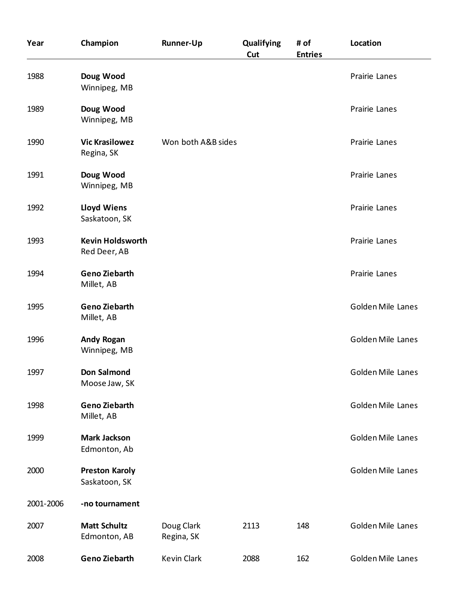| Year      | Champion                                | <b>Runner-Up</b>         | Qualifying<br>Cut | # of<br><b>Entries</b> | Location                 |
|-----------|-----------------------------------------|--------------------------|-------------------|------------------------|--------------------------|
| 1988      | Doug Wood<br>Winnipeg, MB               |                          |                   |                        | Prairie Lanes            |
| 1989      | Doug Wood<br>Winnipeg, MB               |                          |                   |                        | Prairie Lanes            |
| 1990      | <b>Vic Krasilowez</b><br>Regina, SK     | Won both A&B sides       |                   |                        | Prairie Lanes            |
| 1991      | Doug Wood<br>Winnipeg, MB               |                          |                   |                        | Prairie Lanes            |
| 1992      | <b>Lloyd Wiens</b><br>Saskatoon, SK     |                          |                   |                        | Prairie Lanes            |
| 1993      | <b>Kevin Holdsworth</b><br>Red Deer, AB |                          |                   |                        | Prairie Lanes            |
| 1994      | <b>Geno Ziebarth</b><br>Millet, AB      |                          |                   |                        | Prairie Lanes            |
| 1995      | <b>Geno Ziebarth</b><br>Millet, AB      |                          |                   |                        | <b>Golden Mile Lanes</b> |
| 1996      | <b>Andy Rogan</b><br>Winnipeg, MB       |                          |                   |                        | <b>Golden Mile Lanes</b> |
| 1997      | Don Salmond<br>Moose Jaw, SK            |                          |                   |                        | Golden Mile Lanes        |
| 1998      | <b>Geno Ziebarth</b><br>Millet, AB      |                          |                   |                        | <b>Golden Mile Lanes</b> |
| 1999      | <b>Mark Jackson</b><br>Edmonton, Ab     |                          |                   |                        | <b>Golden Mile Lanes</b> |
| 2000      | <b>Preston Karoly</b><br>Saskatoon, SK  |                          |                   |                        | <b>Golden Mile Lanes</b> |
| 2001-2006 | -no tournament                          |                          |                   |                        |                          |
| 2007      | <b>Matt Schultz</b><br>Edmonton, AB     | Doug Clark<br>Regina, SK | 2113              | 148                    | <b>Golden Mile Lanes</b> |
| 2008      | <b>Geno Ziebarth</b>                    | <b>Kevin Clark</b>       | 2088              | 162                    | Golden Mile Lanes        |